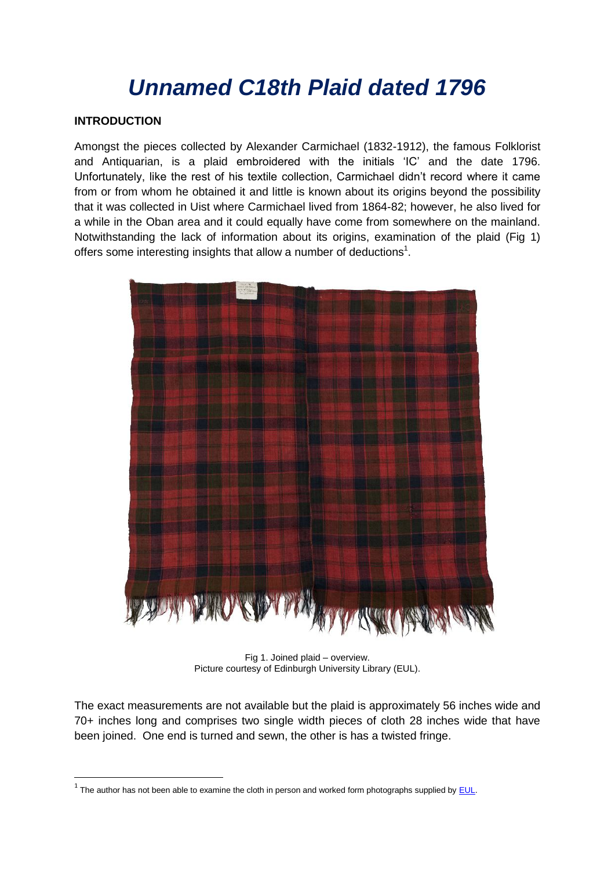# *Unnamed C18th Plaid dated 1796*

### **INTRODUCTION**

**.** 

Amongst the pieces collected by Alexander Carmichael (1832-1912), the famous Folklorist and Antiquarian, is a plaid embroidered with the initials 'IC' and the date 1796. Unfortunately, like the rest of his textile collection, Carmichael didn't record where it came from or from whom he obtained it and little is known about its origins beyond the possibility that it was collected in Uist where Carmichael lived from 1864-82; however, he also lived for a while in the Oban area and it could equally have come from somewhere on the mainland. Notwithstanding the lack of information about its origins, examination of the plaid (Fig 1) offers some interesting insights that allow a number of deductions<sup>1</sup>.



Fig 1. Joined plaid – overview. Picture courtesy of Edinburgh University Library (EUL).

The exact measurements are not available but the plaid is approximately 56 inches wide and 70+ inches long and comprises two single width pieces of cloth 28 inches wide that have been joined. One end is turned and sewn, the other is has a twisted fringe.

 $^1$  The author has not been able to examine the cloth in person and worked form photographs supplied by  $EUL$ .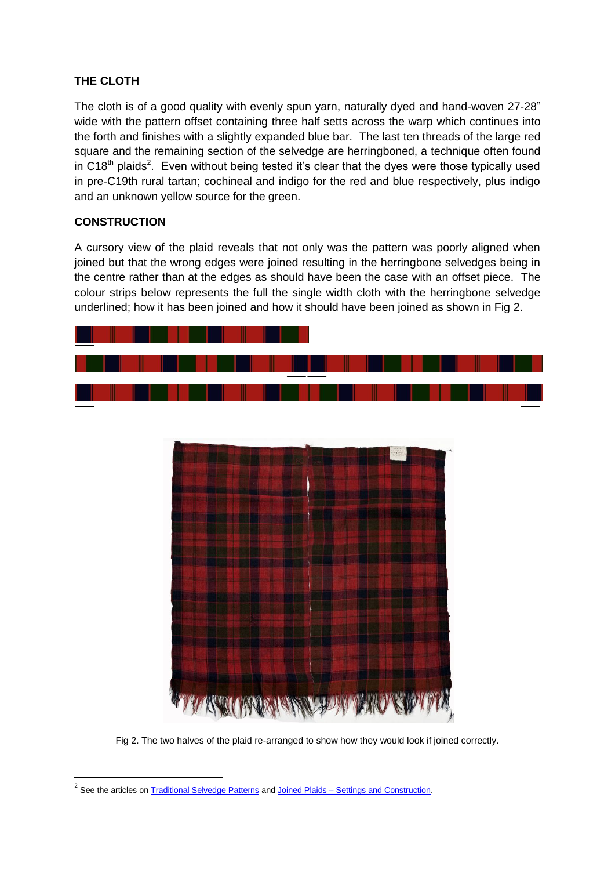# **THE CLOTH**

The cloth is of a good quality with evenly spun yarn, naturally dyed and hand-woven 27-28" wide with the pattern offset containing three half setts across the warp which continues into the forth and finishes with a slightly expanded blue bar. The last ten threads of the large red square and the remaining section of the selvedge are herringboned, a technique often found in C18<sup>th</sup> plaids<sup>2</sup>. Even without being tested it's clear that the dyes were those typically used in pre-C19th rural tartan; cochineal and indigo for the red and blue respectively, plus indigo and an unknown yellow source for the green.

# **CONSTRUCTION**

**.** 

A cursory view of the plaid reveals that not only was the pattern was poorly aligned when joined but that the wrong edges were joined resulting in the herringbone selvedges being in the centre rather than at the edges as should have been the case with an offset piece. The colour strips below represents the full the single width cloth with the herringbone selvedge underlined; how it has been joined and how it should have been joined as shown in Fig 2.



Fig 2. The two halves of the plaid re-arranged to show how they would look if joined correctly.

<sup>&</sup>lt;sup>2</sup> See the articles on **Traditional Selvedge Patterns** and Joined Plaids – [Settings and Construction.](http://www.scottishtartans.co.uk/Joined_Plaids.pdf)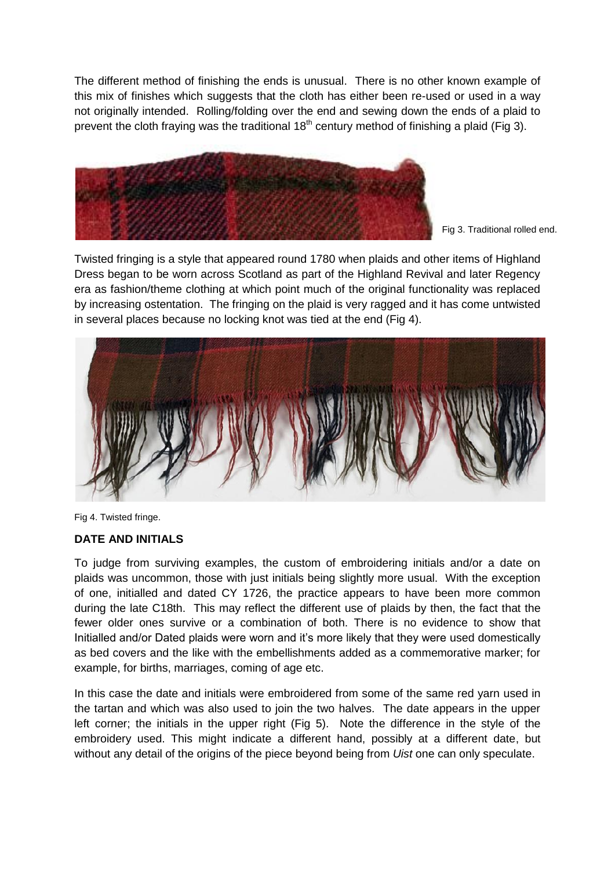The different method of finishing the ends is unusual. There is no other known example of this mix of finishes which suggests that the cloth has either been re-used or used in a way not originally intended. Rolling/folding over the end and sewing down the ends of a plaid to prevent the cloth fraying was the traditional  $18<sup>th</sup>$  century method of finishing a plaid (Fig 3).



Fig 3. Traditional rolled end.

Twisted fringing is a style that appeared round 1780 when plaids and other items of Highland Dress began to be worn across Scotland as part of the Highland Revival and later Regency era as fashion/theme clothing at which point much of the original functionality was replaced by increasing ostentation. The fringing on the plaid is very ragged and it has come untwisted in several places because no locking knot was tied at the end (Fig 4).



Fig 4. Twisted fringe.

#### **DATE AND INITIALS**

To judge from surviving examples, the custom of embroidering initials and/or a date on plaids was uncommon, those with just initials being slightly more usual. With the exception of one, initialled and dated CY 1726, the practice appears to have been more common during the late C18th. This may reflect the different use of plaids by then, the fact that the fewer older ones survive or a combination of both. There is no evidence to show that Initialled and/or Dated plaids were worn and it's more likely that they were used domestically as bed covers and the like with the embellishments added as a commemorative marker; for example, for births, marriages, coming of age etc.

In this case the date and initials were embroidered from some of the same red yarn used in the tartan and which was also used to join the two halves. The date appears in the upper left corner; the initials in the upper right (Fig 5). Note the difference in the style of the embroidery used. This might indicate a different hand, possibly at a different date, but without any detail of the origins of the piece beyond being from *Uist* one can only speculate.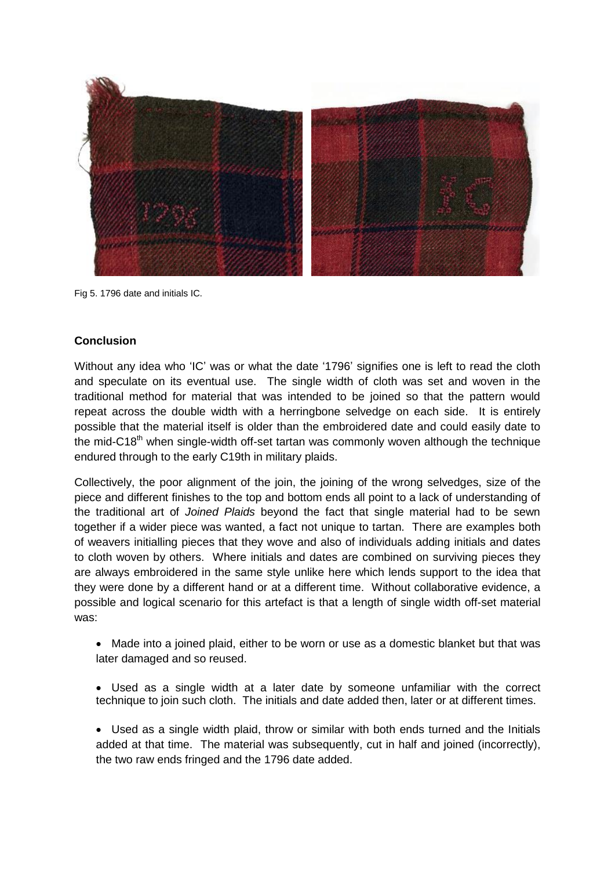

Fig 5. 1796 date and initials IC.

#### **Conclusion**

Without any idea who 'IC' was or what the date '1796' signifies one is left to read the cloth and speculate on its eventual use. The single width of cloth was set and woven in the traditional method for material that was intended to be joined so that the pattern would repeat across the double width with a herringbone selvedge on each side. It is entirely possible that the material itself is older than the embroidered date and could easily date to the mid-C18<sup>th</sup> when single-width off-set tartan was commonly woven although the technique endured through to the early C19th in military plaids.

Collectively, the poor alignment of the join, the joining of the wrong selvedges, size of the piece and different finishes to the top and bottom ends all point to a lack of understanding of the traditional art of *Joined Plaids* beyond the fact that single material had to be sewn together if a wider piece was wanted, a fact not unique to tartan. There are examples both of weavers initialling pieces that they wove and also of individuals adding initials and dates to cloth woven by others. Where initials and dates are combined on surviving pieces they are always embroidered in the same style unlike here which lends support to the idea that they were done by a different hand or at a different time. Without collaborative evidence, a possible and logical scenario for this artefact is that a length of single width off-set material was:

- Made into a joined plaid, either to be worn or use as a domestic blanket but that was later damaged and so reused.
- Used as a single width at a later date by someone unfamiliar with the correct technique to join such cloth. The initials and date added then, later or at different times.
- Used as a single width plaid, throw or similar with both ends turned and the Initials added at that time. The material was subsequently, cut in half and joined (incorrectly), the two raw ends fringed and the 1796 date added.